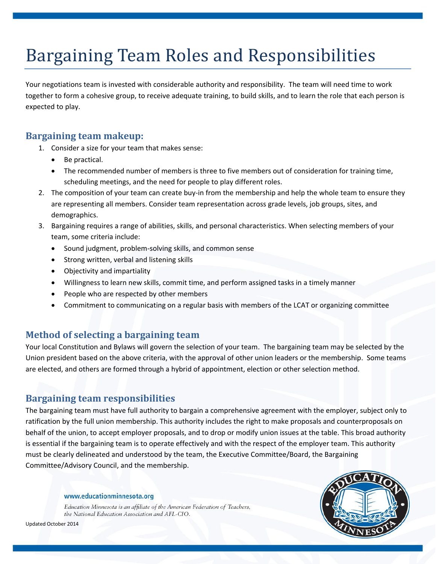# Bargaining Team Roles and Responsibilities

Your negotiations team is invested with considerable authority and responsibility. The team will need time to work together to form a cohesive group, to receive adequate training, to build skills, and to learn the role that each person is expected to play.

## **Bargaining team makeup:**

- 1. Consider a size for your team that makes sense:
	- Be practical.
	- The recommended number of members is three to five members out of consideration for training time, scheduling meetings, and the need for people to play different roles.
- 2. The composition of your team can create buy-in from the membership and help the whole team to ensure they are representing all members. Consider team representation across grade levels, job groups, sites, and demographics.
- 3. Bargaining requires a range of abilities, skills, and personal characteristics. When selecting members of your team, some criteria include:
	- Sound judgment, problem-solving skills, and common sense
	- Strong written, verbal and listening skills
	- Objectivity and impartiality
	- Willingness to learn new skills, commit time, and perform assigned tasks in a timely manner
	- People who are respected by other members
	- Commitment to communicating on a regular basis with members of the LCAT or organizing committee

# **Method of selecting a bargaining team**

Your local Constitution and Bylaws will govern the selection of your team. The bargaining team may be selected by the Union president based on the above criteria, with the approval of other union leaders or the membership. Some teams are elected, and others are formed through a hybrid of appointment, election or other selection method.

## **Bargaining team responsibilities**

The bargaining team must have full authority to bargain a comprehensive agreement with the employer, subject only to ratification by the full union membership. This authority includes the right to make proposals and counterproposals on behalf of the union, to accept employer proposals, and to drop or modify union issues at the table. This broad authority is essential if the bargaining team is to operate effectively and with the respect of the employer team. This authority must be clearly delineated and understood by the team, the Executive Committee/Board, the Bargaining Committee/Advisory Council, and the membership.

#### www.educationminnesota.org

Education Minnesota is an affiliate of the American Federation of Teachers, the National Education Association and AFL-CIO.



Updated October 2014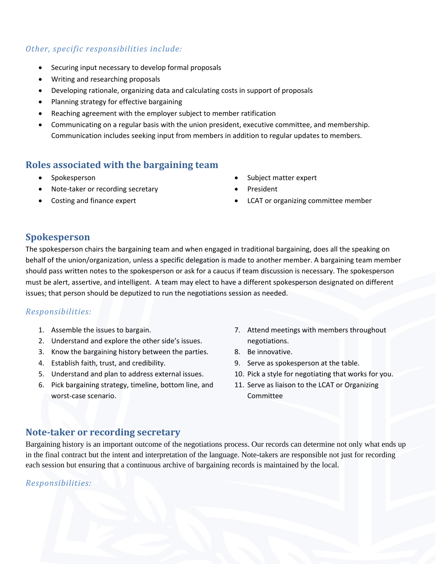### *Other, specific responsibilities include:*

- Securing input necessary to develop formal proposals
- Writing and researching proposals
- Developing rationale, organizing data and calculating costs in support of proposals
- Planning strategy for effective bargaining
- Reaching agreement with the employer subject to member ratification
- Communicating on a regular basis with the union president, executive committee, and membership. Communication includes seeking input from members in addition to regular updates to members.

## **Roles associated with the bargaining team**

- Spokesperson
- Note-taker or recording secretary
- Costing and finance expert
- Subject matter expert
- President
- LCAT or organizing committee member

#### **Spokesperson**

The spokesperson chairs the bargaining team and when engaged in traditional bargaining, does all the speaking on behalf of the union/organization, unless a specific delegation is made to another member. A bargaining team member should pass written notes to the spokesperson or ask for a caucus if team discussion is necessary. The spokesperson must be alert, assertive, and intelligent. A team may elect to have a different spokesperson designated on different issues; that person should be deputized to run the negotiations session as needed.

#### *Responsibilities:*

- 1. Assemble the issues to bargain.
- 2. Understand and explore the other side's issues.
- 3. Know the bargaining history between the parties.
- 4. Establish faith, trust, and credibility.
- 5. Understand and plan to address external issues.
- 6. Pick bargaining strategy, timeline, bottom line, and worst-case scenario.
- 7. Attend meetings with members throughout negotiations.
- 8. Be innovative.
- 9. Serve as spokesperson at the table.
- 10. Pick a style for negotiating that works for you.
- 11. Serve as liaison to the LCAT or Organizing Committee

#### **Note-taker or recording secretary**

Bargaining history is an important outcome of the negotiations process. Our records can determine not only what ends up in the final contract but the intent and interpretation of the language. Note-takers are responsible not just for recording each session but ensuring that a continuous archive of bargaining records is maintained by the local.

#### *Responsibilities:*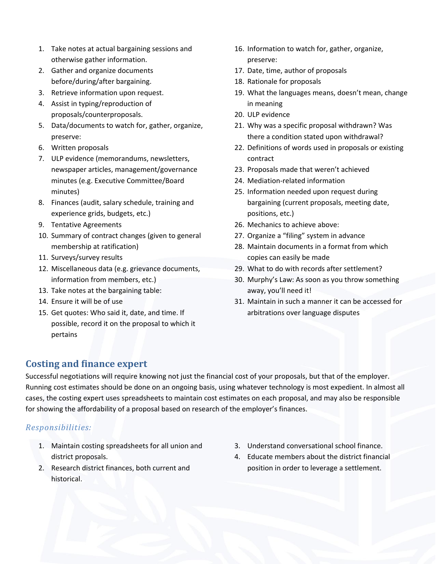- 1. Take notes at actual bargaining sessions and otherwise gather information.
- 2. Gather and organize documents before/during/after bargaining.
- 3. Retrieve information upon request.
- 4. Assist in typing/reproduction of proposals/counterproposals.
- 5. Data/documents to watch for, gather, organize, preserve:
- 6. Written proposals
- 7. ULP evidence (memorandums, newsletters, newspaper articles, management/governance minutes (e.g. Executive Committee/Board minutes)
- 8. Finances (audit, salary schedule, training and experience grids, budgets, etc.)
- 9. Tentative Agreements
- 10. Summary of contract changes (given to general membership at ratification)
- 11. Surveys/survey results
- 12. Miscellaneous data (e.g. grievance documents, information from members, etc.)
- 13. Take notes at the bargaining table:
- 14. Ensure it will be of use
- 15. Get quotes: Who said it, date, and time. If possible, record it on the proposal to which it pertains
- 16. Information to watch for, gather, organize, preserve:
- 17. Date, time, author of proposals
- 18. Rationale for proposals
- 19. What the languages means, doesn't mean, change in meaning
- 20. ULP evidence
- 21. Why was a specific proposal withdrawn? Was there a condition stated upon withdrawal?
- 22. Definitions of words used in proposals or existing contract
- 23. Proposals made that weren't achieved
- 24. Mediation-related information
- 25. Information needed upon request during bargaining (current proposals, meeting date, positions, etc.)
- 26. Mechanics to achieve above:
- 27. Organize a "filing" system in advance
- 28. Maintain documents in a format from which copies can easily be made
- 29. What to do with records after settlement?
- 30. Murphy's Law: As soon as you throw something away, you'll need it!
- 31. Maintain in such a manner it can be accessed for arbitrations over language disputes

## **Costing and finance expert**

Successful negotiations will require knowing not just the financial cost of your proposals, but that of the employer. Running cost estimates should be done on an ongoing basis, using whatever technology is most expedient. In almost all cases, the costing expert uses spreadsheets to maintain cost estimates on each proposal, and may also be responsible for showing the affordability of a proposal based on research of the employer's finances.

#### *Responsibilities:*

- 1. Maintain costing spreadsheets for all union and district proposals.
- 2. Research district finances, both current and historical.
- 3. Understand conversational school finance.
- 4. Educate members about the district financial position in order to leverage a settlement.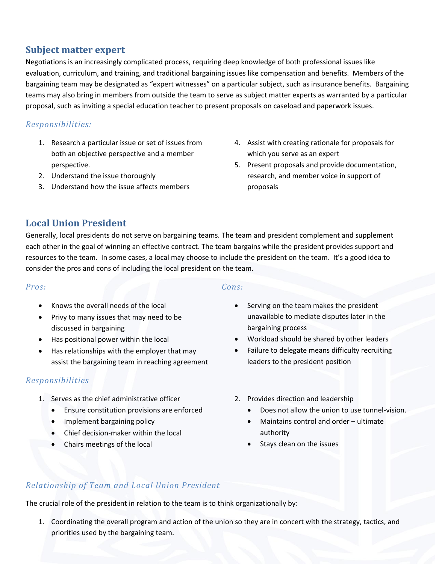## **Subject matter expert**

Negotiations is an increasingly complicated process, requiring deep knowledge of both professional issues like evaluation, curriculum, and training, and traditional bargaining issues like compensation and benefits. Members of the bargaining team may be designated as "expert witnesses" on a particular subject, such as insurance benefits. Bargaining teams may also bring in members from outside the team to serve as subject matter experts as warranted by a particular proposal, such as inviting a special education teacher to present proposals on caseload and paperwork issues.

#### *Responsibilities:*

- 1. Research a particular issue or set of issues from both an objective perspective and a member perspective.
- 2. Understand the issue thoroughly
- 3. Understand how the issue affects members
- 4. Assist with creating rationale for proposals for which you serve as an expert
- 5. Present proposals and provide documentation, research, and member voice in support of proposals

## **Local Union President**

Generally, local presidents do not serve on bargaining teams. The team and president complement and supplement each other in the goal of winning an effective contract. The team bargains while the president provides support and resources to the team. In some cases, a local may choose to include the president on the team. It's a good idea to consider the pros and cons of including the local president on the team.

#### *Pros:*

- Knows the overall needs of the local
- Privy to many issues that may need to be discussed in bargaining
- Has positional power within the local
- Has relationships with the employer that may assist the bargaining team in reaching agreement

#### *Responsibilities*

- 1. Serves as the chief administrative officer
	- Ensure constitution provisions are enforced
	- Implement bargaining policy
	- Chief decision-maker within the local
	- Chairs meetings of the local

#### *Cons:*

- Serving on the team makes the president unavailable to mediate disputes later in the bargaining process
- Workload should be shared by other leaders
- Failure to delegate means difficulty recruiting leaders to the president position
- 2. Provides direction and leadership
	- Does not allow the union to use tunnel-vision.
	- Maintains control and order ultimate authority
	- Stays clean on the issues

## *Relationship of Team and Local Union President*

The crucial role of the president in relation to the team is to think organizationally by:

1. Coordinating the overall program and action of the union so they are in concert with the strategy, tactics, and priorities used by the bargaining team.